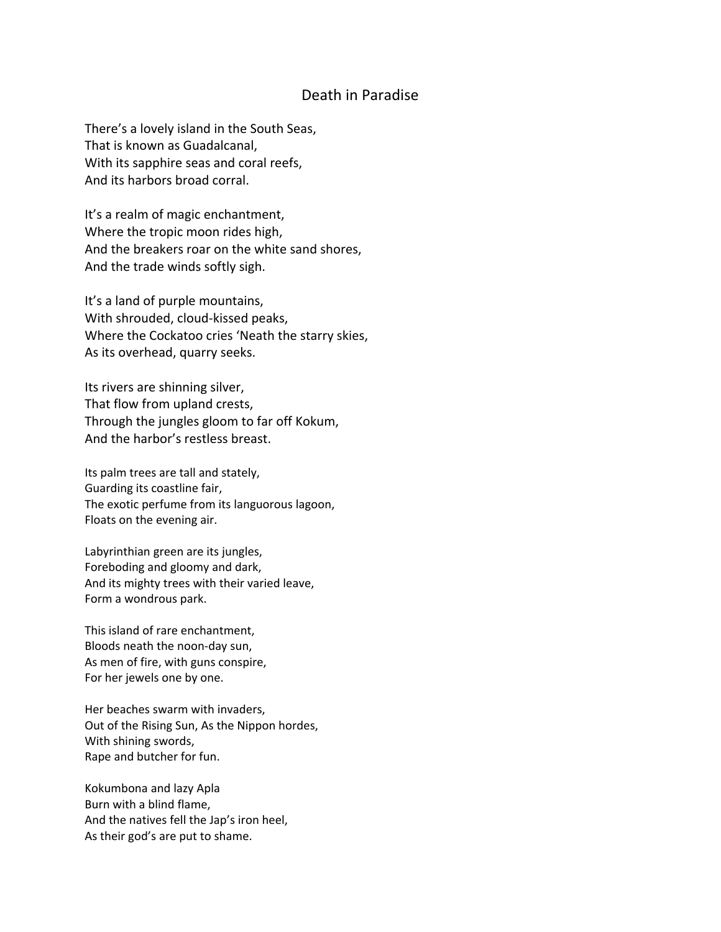## Death in Paradise

There's a lovely island in the South Seas, That is known as Guadalcanal, With its sapphire seas and coral reefs, And its harbors broad corral.

It's a realm of magic enchantment, Where the tropic moon rides high, And the breakers roar on the white sand shores, And the trade winds softly sigh.

It's a land of purple mountains, With shrouded, cloud‐kissed peaks, Where the Cockatoo cries 'Neath the starry skies, As its overhead, quarry seeks.

Its rivers are shinning silver, That flow from upland crests, Through the jungles gloom to far off Kokum, And the harbor's restless breast.

Its palm trees are tall and stately, Guarding its coastline fair, The exotic perfume from its languorous lagoon, Floats on the evening air.

Labyrinthian green are its jungles, Foreboding and gloomy and dark, And its mighty trees with their varied leave, Form a wondrous park.

This island of rare enchantment, Bloods neath the noon‐day sun, As men of fire, with guns conspire, For her jewels one by one.

Her beaches swarm with invaders, Out of the Rising Sun, As the Nippon hordes, With shining swords, Rape and butcher for fun.

Kokumbona and lazy Apla Burn with a blind flame, And the natives fell the Jap's iron heel, As their god's are put to shame.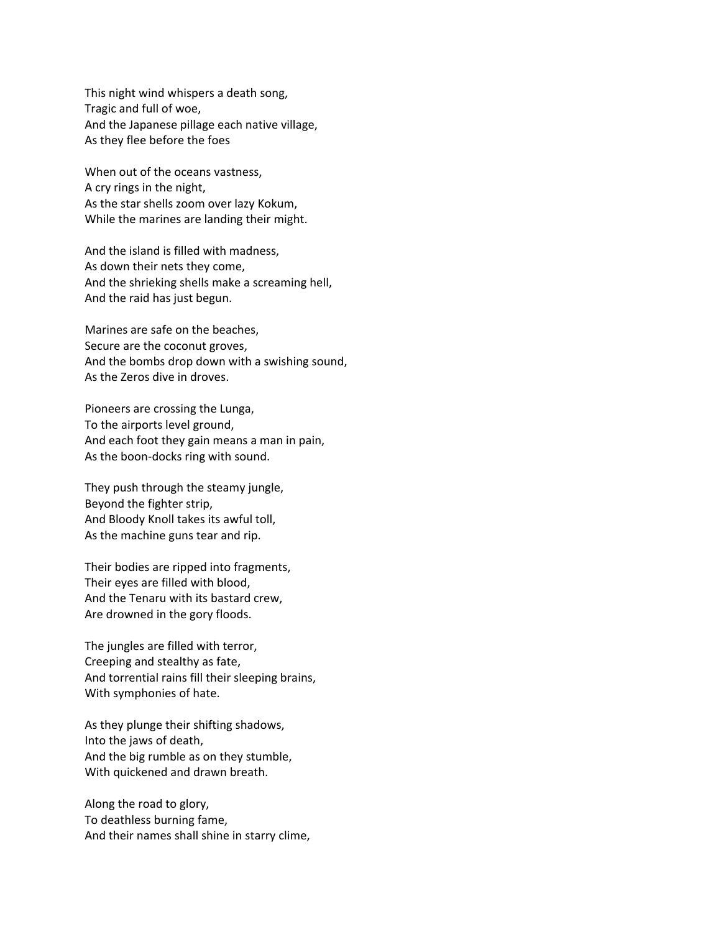This night wind whispers a death song, Tragic and full of woe, And the Japanese pillage each native village, As they flee before the foes

When out of the oceans vastness, A cry rings in the night, As the star shells zoom over lazy Kokum, While the marines are landing their might.

And the island is filled with madness, As down their nets they come, And the shrieking shells make a screaming hell, And the raid has just begun.

Marines are safe on the beaches, Secure are the coconut groves, And the bombs drop down with a swishing sound, As the Zeros dive in droves.

Pioneers are crossing the Lunga, To the airports level ground, And each foot they gain means a man in pain, As the boon‐docks ring with sound.

They push through the steamy jungle, Beyond the fighter strip, And Bloody Knoll takes its awful toll, As the machine guns tear and rip.

Their bodies are ripped into fragments, Their eyes are filled with blood, And the Tenaru with its bastard crew, Are drowned in the gory floods.

The jungles are filled with terror, Creeping and stealthy as fate, And torrential rains fill their sleeping brains, With symphonies of hate.

As they plunge their shifting shadows, Into the jaws of death, And the big rumble as on they stumble, With quickened and drawn breath.

Along the road to glory, To deathless burning fame, And their names shall shine in starry clime,